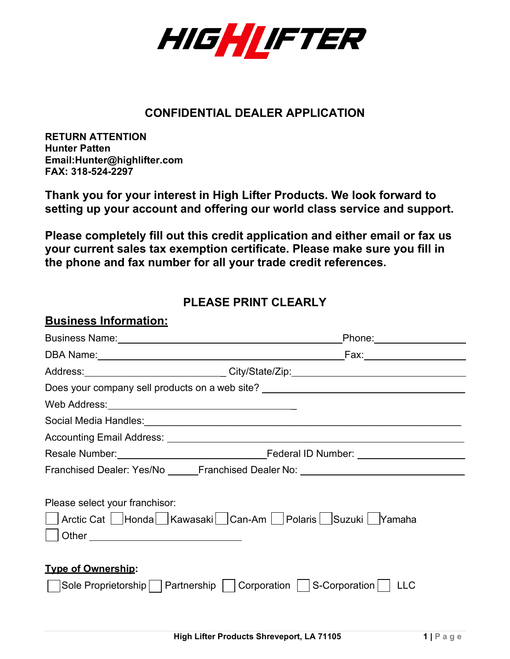

### **CONFIDENTIAL DEALER APPLICATION**

**RETURN ATTENTION Hunter Patten [Email:Hunter@highlifter.com](mailto:Hunter@highlifter.com) FAX: 318-524-2297**

**Thank you for your interest in High Lifter Products. We look forward to setting up your account and offering our world class service and support.**

**Please completely fill out this credit application and either email or fax us your current sales tax exemption certificate. Please make sure you fill in the phone and fax number for all your trade credit references.**

## **PLEASE PRINT CLEARLY**

#### **Business Information:**

| Business Name: Manual Account of the Manual Account of the Manual Account of the Manual Account of the Manual Account of the Manual Account of the Manual Account of the Manual Account of the Manual Account of the Manual Ac |  |
|--------------------------------------------------------------------------------------------------------------------------------------------------------------------------------------------------------------------------------|--|
|                                                                                                                                                                                                                                |  |
| Address: ________________________________City/State/Zip: _______________________                                                                                                                                               |  |
| Does your company sell products on a web site? _________________________________                                                                                                                                               |  |
|                                                                                                                                                                                                                                |  |
|                                                                                                                                                                                                                                |  |
|                                                                                                                                                                                                                                |  |
|                                                                                                                                                                                                                                |  |
| Franchised Dealer: Yes/No ______Franchised Dealer No: __________________________                                                                                                                                               |  |
| Please select your franchisor:<br>Arctic Cat   Honda   Kawasaki   Can-Am   Polaris   Suzuki   Yamaha                                                                                                                           |  |
| <b>Type of Ownership:</b><br>Sole Proprietorship     Partnership     Corporation     S-Corporation     LLC                                                                                                                     |  |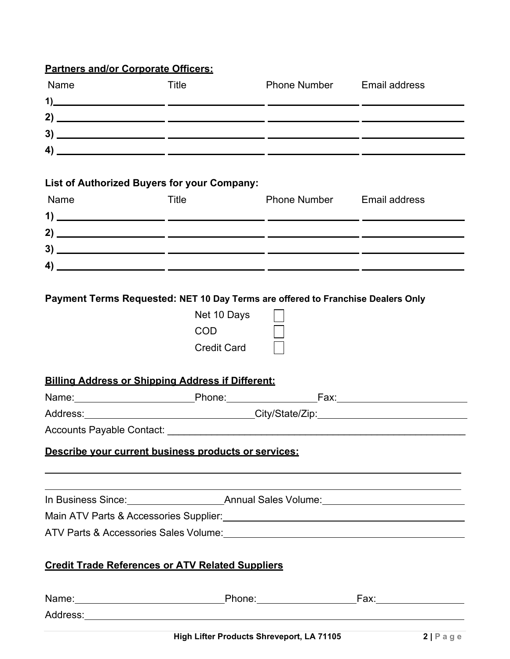## **Partners and/or Corporate Officers:**

| Name                                                                                                                                        | Title                                           | <b>Phone Number</b> Email address |                                                                                                                                                                                                                               |
|---------------------------------------------------------------------------------------------------------------------------------------------|-------------------------------------------------|-----------------------------------|-------------------------------------------------------------------------------------------------------------------------------------------------------------------------------------------------------------------------------|
| $\frac{1}{2}$                                                                                                                               |                                                 |                                   |                                                                                                                                                                                                                               |
|                                                                                                                                             |                                                 |                                   |                                                                                                                                                                                                                               |
|                                                                                                                                             |                                                 |                                   |                                                                                                                                                                                                                               |
| $\left( \begin{array}{ccc} 4) & \phantom{+} & \phantom{+} & \phantom{+} & \phantom{+} & \phantom{+} \end{array} \right)$                    |                                                 |                                   |                                                                                                                                                                                                                               |
| <b>List of Authorized Buyers for your Company:</b>                                                                                          |                                                 |                                   |                                                                                                                                                                                                                               |
| Name                                                                                                                                        | Title                                           | <b>Phone Number</b> Email address |                                                                                                                                                                                                                               |
|                                                                                                                                             |                                                 |                                   |                                                                                                                                                                                                                               |
|                                                                                                                                             |                                                 |                                   |                                                                                                                                                                                                                               |
|                                                                                                                                             |                                                 |                                   |                                                                                                                                                                                                                               |
|                                                                                                                                             |                                                 |                                   |                                                                                                                                                                                                                               |
| Payment Terms Requested: NET 10 Day Terms are offered to Franchise Dealers Only<br><b>Billing Address or Shipping Address if Different:</b> | Net 10 Days<br><b>COD</b><br><b>Credit Card</b> |                                   |                                                                                                                                                                                                                               |
|                                                                                                                                             |                                                 |                                   | Name: Name: Name: Name: Name: Name: Name: Name: Name: Name: Name: Name: Name: Name: Name: Name: Name: Name: Na                                                                                                                |
|                                                                                                                                             |                                                 |                                   |                                                                                                                                                                                                                               |
|                                                                                                                                             |                                                 |                                   |                                                                                                                                                                                                                               |
| Describe your current business products or services:                                                                                        |                                                 |                                   |                                                                                                                                                                                                                               |
|                                                                                                                                             |                                                 |                                   |                                                                                                                                                                                                                               |
|                                                                                                                                             |                                                 |                                   | the control of the control of the control of the control of the control of the control of the control of the control of the control of the control of the control of the control of the control of the control of the control |
|                                                                                                                                             |                                                 |                                   |                                                                                                                                                                                                                               |
| ATV Parts & Accessories Sales Volume: Manual ATV Parts & Accessories Sales Volume:                                                          |                                                 |                                   |                                                                                                                                                                                                                               |
| <b>Credit Trade References or ATV Related Suppliers</b>                                                                                     |                                                 |                                   |                                                                                                                                                                                                                               |
|                                                                                                                                             |                                                 |                                   |                                                                                                                                                                                                                               |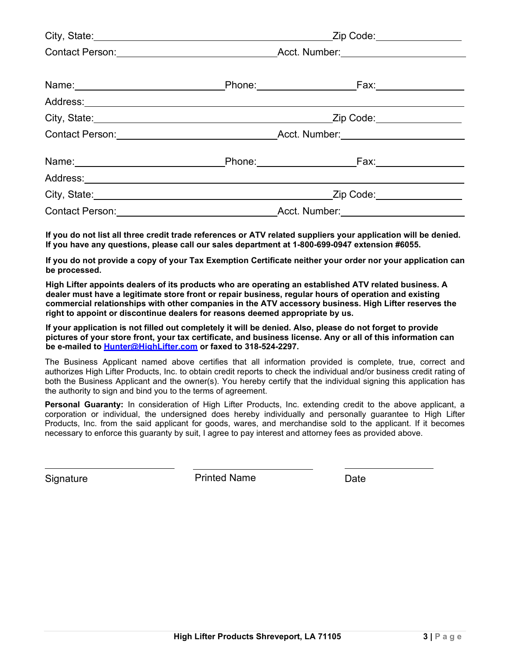| Contact Person: Number: Number: Number: Number: Number: Number: Number: Number: Number: Number: Number: Number: Number: Number: Number: Number: Number: Number: Number: Number: Number: Number: Number: Number: Number: Number |  |  |
|--------------------------------------------------------------------------------------------------------------------------------------------------------------------------------------------------------------------------------|--|--|
|                                                                                                                                                                                                                                |  |  |
|                                                                                                                                                                                                                                |  |  |
|                                                                                                                                                                                                                                |  |  |
|                                                                                                                                                                                                                                |  |  |
| Contact Person: Number: Number: Number: Number: Number: Number: Number: Number: Number: Number: Number: Number: Number: Number: Number: Number: Number: Number: Number: Number: Number: Number: Number: Number: Number: Number |  |  |
| Name: Name: Name: Name: Name: Name: Name: Name: Name: Name: Name: Name: Name: Name: Name: Name: Name: Name: Name: Name: Name: Name: Name: Name: Name: Name: Name: Name: Name: Name: Name: Name: Name: Name: Name: Name: Name:  |  |  |
|                                                                                                                                                                                                                                |  |  |
| City, State: City, State: City, State: City, State: City, State: City, State: City, State: City, State: City, State: City, State: City, State: City, State: City, State: City, State: City, State: City, State: City, State: C |  |  |
|                                                                                                                                                                                                                                |  |  |

**If you do not list all three credit trade references or ATV related suppliers your application will be denied. If you have any questions, please call our sales department at 1-800-699-0947 extension #6055.**

**If you do not provide a copy of your Tax Exemption Certificate neither your order nor your application can be processed.**

**High Lifter appoints dealers of its products who are operating an established ATV related business. A dealer must have a legitimate store front or repair business, regular hours of operation and existing commercial relationships with other companies in the ATV accessory business. High Lifter reserves the right to appoint or discontinue dealers for reasons deemed appropriate by us.**

**If your application is not filled out completely it will be denied. Also, please do not forget to provide pictures of your store front, your tax certificate, and business license. Any or all of this information can be e-mailed to [Hunter@HighLifter.com](mailto:Jeremy@HighLifter.com) or faxed to 318-524-2297.**

The Business Applicant named above certifies that all information provided is complete, true, correct and authorizes High Lifter Products, Inc. to obtain credit reports to check the individual and/or business credit rating of both the Business Applicant and the owner(s). You hereby certify that the individual signing this application has the authority to sign and bind you to the terms of agreement.

**Personal Guaranty:** In consideration of High Lifter Products, Inc. extending credit to the above applicant, a corporation or individual, the undersigned does hereby individually and personally guarantee to High Lifter Products, Inc. from the said applicant for goods, wares, and merchandise sold to the applicant. If it becomes necessary to enforce this guaranty by suit, I agree to pay interest and attorney fees as provided above.

Signature **Printed Name** Date